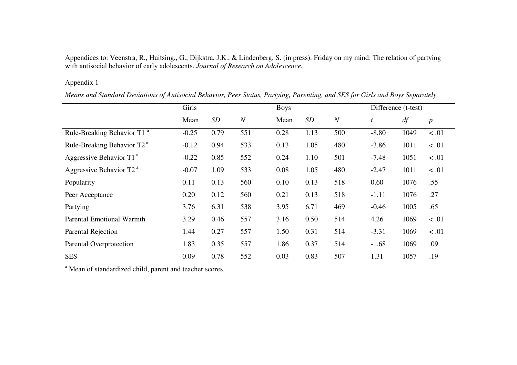Appendices to: Veenstra, R., Huitsing., G., Dijkstra, J.K., & Lindenberg, S. (in press). Friday on my mind: The relation of partying with antisocial behavior of early adolescents. *Journal of Research on Adolescence.*

## Appendix 1

Means and Standard Deviations of Antisocial Behavior, Peer Status, Partying, Parenting, and SES for Girls and Boys Separately

|                                        | Girls   |      |                  | <b>Boys</b> |      |                  | Difference (t-test) |      |                  |  |
|----------------------------------------|---------|------|------------------|-------------|------|------------------|---------------------|------|------------------|--|
|                                        | Mean    | SD   | $\boldsymbol{N}$ | Mean        | SD   | $\boldsymbol{N}$ |                     | df   | $\boldsymbol{p}$ |  |
| Rule-Breaking Behavior T1 <sup>a</sup> | $-0.25$ | 0.79 | 551              | 0.28        | 1.13 | 500              | $-8.80$             | 1049 | < 0.01           |  |
| Rule-Breaking Behavior T2 <sup>a</sup> | $-0.12$ | 0.94 | 533              | 0.13        | 1.05 | 480              | $-3.86$             | 1011 | $\leq .01$       |  |
| Aggressive Behavior T1 $a$             | $-0.22$ | 0.85 | 552              | 0.24        | 1.10 | 501              | $-7.48$             | 1051 | $\leq .01$       |  |
| Aggressive Behavior T2 <sup>a</sup>    | $-0.07$ | 1.09 | 533              | 0.08        | 1.05 | 480              | $-2.47$             | 1011 | < 0.01           |  |
| Popularity                             | 0.11    | 0.13 | 560              | 0.10        | 0.13 | 518              | 0.60                | 1076 | .55              |  |
| Peer Acceptance                        | 0.20    | 0.12 | 560              | 0.21        | 0.13 | 518              | $-1.11$             | 1076 | .27              |  |
| Partying                               | 3.76    | 6.31 | 538              | 3.95        | 6.71 | 469              | $-0.46$             | 1005 | .65              |  |
| <b>Parental Emotional Warmth</b>       | 3.29    | 0.46 | 557              | 3.16        | 0.50 | 514              | 4.26                | 1069 | $\leq .01$       |  |
| Parental Rejection                     | 1.44    | 0.27 | 557              | 1.50        | 0.31 | 514              | $-3.31$             | 1069 | < 0.01           |  |
| Parental Overprotection                | 1.83    | 0.35 | 557              | 1.86        | 0.37 | 514              | $-1.68$             | 1069 | .09              |  |
| <b>SES</b>                             | 0.09    | 0.78 | 552              | 0.03        | 0.83 | 507              | 1.31                | 1057 | .19              |  |

<sup>a</sup> Mean of standardized child, parent and teacher scores.